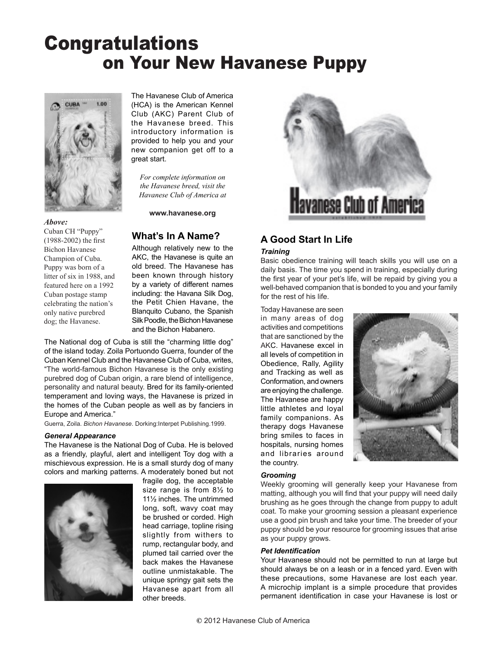# Congratulations on Your New Havanese Puppy



The Havanese Club of America (HCA) is the American Kennel Club (AKC) Parent Club of the Havanese breed. This introductory information is provided to help you and your new companion get off to a great start.

*For complete information on the Havanese breed, visit the Havanese Club of America at*

**www.havanese.org**

#### *Above:*

Cuban CH "Puppy" (1988-2002) the first Bichon Havanese Champion of Cuba. Puppy was born of a litter of six in 1988, and featured here on a 1992 Cuban postage stamp celebrating the nation's only native purebred dog; the Havanese.

## **What's In A Name?**

Although relatively new to the AKC, the Havanese is quite an old breed. The Havanese has been known through history by a variety of different names including: the Havana Silk Dog, the Petit Chien Havane, the Blanquito Cubano, the Spanish Silk Poodle, the Bichon Havanese and the Bichon Habanero.

The National dog of Cuba is still the "charming little dog" of the island today. Zoila Portuondo Guerra, founder of the Cuban Kennel Club and the Havanese Club of Cuba, writes, "The world-famous Bichon Havanese is the only existing purebred dog of Cuban origin, a rare blend of intelligence, personality and natural beauty. Bred for its family-oriented temperament and loving ways, the Havanese is prized in the homes of the Cuban people as well as by fanciers in Europe and America."

Guerra, Zoila. *Bichon Havanese*. Dorking:Interpet Publishing.1999.

#### *General Appearance*

The Havanese is the National Dog of Cuba. He is beloved as a friendly, playful, alert and intelligent Toy dog with a mischievous expression. He is a small sturdy dog of many colors and marking patterns. A moderately boned but not



fragile dog, the acceptable size range is from 8½ to 11½ inches. The untrimmed long, soft, wavy coat may be brushed or corded. High head carriage, topline rising slightly from withers to rump, rectangular body, and plumed tail carried over the back makes the Havanese outline unmistakable. The unique springy gait sets the Havanese apart from all other breeds.



## **A Good Start In Life**

#### *Training*

Basic obedience training will teach skills you will use on a daily basis. The time you spend in training, especially during the first year of your pet's life, will be repaid by giving you a well-behaved companion that is bonded to you and your family for the rest of his life.

Today Havanese are seen in many areas of dog activities and competitions that are sanctioned by the AKC. Havanese excel in all levels of competition in Obedience, Rally, Agility and Tracking as well as Conformation, and owners are enjoying the challenge. The Havanese are happy little athletes and loyal family companions. As therapy dogs Havanese bring smiles to faces in hospitals, nursing homes and libraries around the country.



#### *Grooming*

Weekly grooming will generally keep your Havanese from matting, although you will find that your puppy will need daily brushing as he goes through the change from puppy to adult coat. To make your grooming session a pleasant experience use a good pin brush and take your time. The breeder of your puppy should be your resource for grooming issues that arise as your puppy grows.

#### *Pet Identification*

Your Havanese should not be permitted to run at large but should always be on a leash or in a fenced yard. Even with these precautions, some Havanese are lost each year. A microchip implant is a simple procedure that provides permanent identification in case your Havanese is lost or